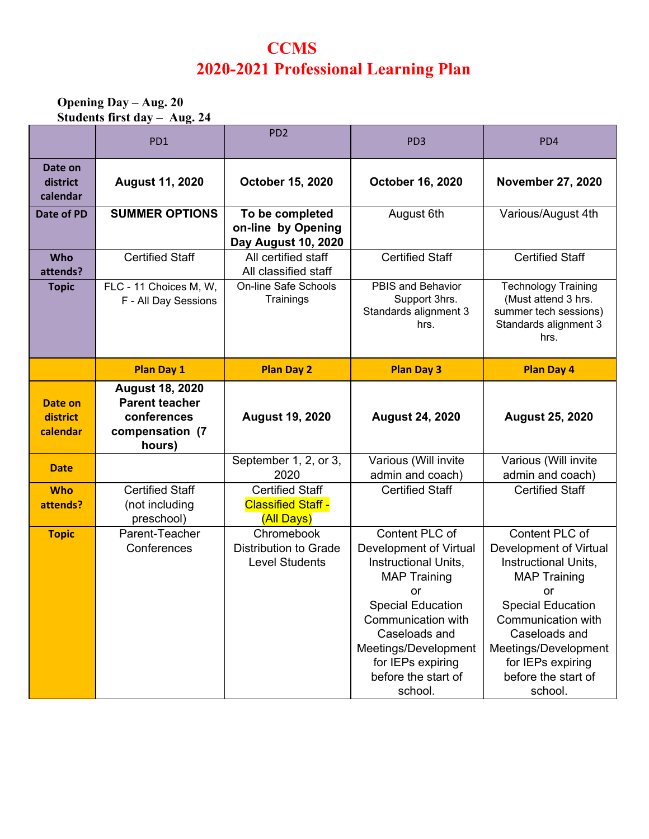# **CCMS 2020-2021 Professional Learning Plan**

### **Opening Day – Aug. 20 Students first day – Aug. 24**

|                                 | PD <sub>1</sub>                                                          | PD <sub>2</sub>                                                                 | PD <sub>3</sub>                                                     | PD4                                                                                                         |
|---------------------------------|--------------------------------------------------------------------------|---------------------------------------------------------------------------------|---------------------------------------------------------------------|-------------------------------------------------------------------------------------------------------------|
| Date on<br>district<br>calendar | <b>August 11, 2020</b>                                                   | <b>October 15, 2020</b>                                                         | <b>October 16, 2020</b>                                             | <b>November 27, 2020</b>                                                                                    |
| Date of PD                      | <b>SUMMER OPTIONS</b>                                                    | To be completed<br>on-line by Opening<br>Day August 10, 2020                    | August 6th                                                          | Various/August 4th                                                                                          |
| Who<br>attends?                 | <b>Certified Staff</b>                                                   | All certified staff<br>All classified staff                                     | <b>Certified Staff</b>                                              | <b>Certified Staff</b>                                                                                      |
| <b>Topic</b>                    | FLC - 11 Choices M, W,<br>F - All Day Sessions                           | <b>On-line Safe Schools</b><br>Trainings                                        | PBIS and Behavior<br>Support 3hrs.<br>Standards alignment 3<br>hrs. | <b>Technology Training</b><br>(Must attend 3 hrs.<br>summer tech sessions)<br>Standards alignment 3<br>hrs. |
|                                 | <b>Plan Day 1</b>                                                        | <b>Plan Day 2</b>                                                               | <b>Plan Day 3</b>                                                   | <b>Plan Day 4</b>                                                                                           |
| Date on                         | <b>August 18, 2020</b><br><b>Parent teacher</b>                          |                                                                                 |                                                                     |                                                                                                             |
| district<br>calendar            | conferences<br>compensation (7<br>hours)                                 | <b>August 19, 2020</b>                                                          | <b>August 24, 2020</b>                                              | <b>August 25, 2020</b>                                                                                      |
| <b>Date</b>                     |                                                                          | September 1, 2, or 3,<br>2020                                                   | Various (Will invite<br>admin and coach)                            | Various (Will invite<br>admin and coach)                                                                    |
| <b>Who</b><br>attends?          | <b>Certified Staff</b><br>(not including<br>preschool)<br>Parent-Teacher | <b>Certified Staff</b><br><b>Classified Staff -</b><br>(All Days)<br>Chromebook | <b>Certified Staff</b><br>Content PLC of                            | <b>Certified Staff</b><br>Content PLC of                                                                    |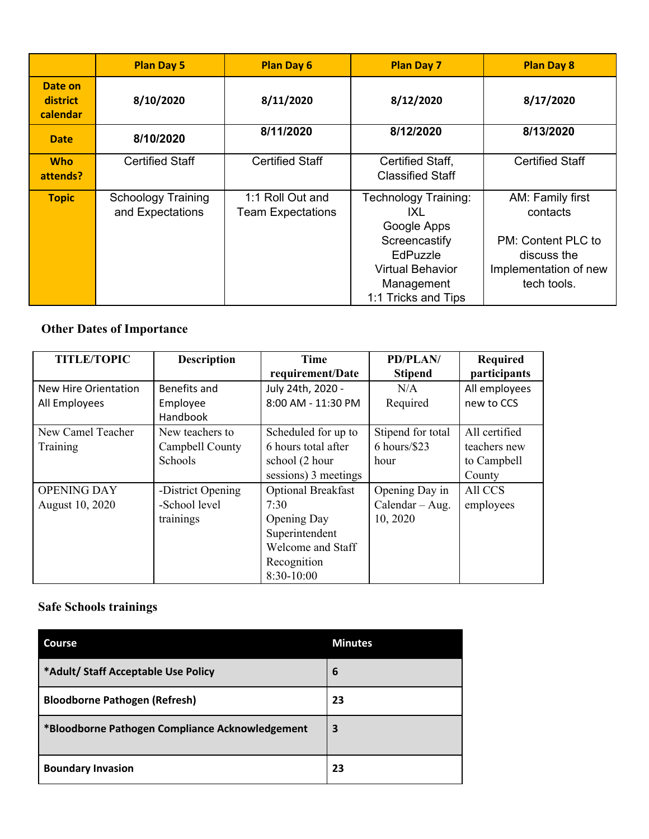|                                 | <b>Plan Day 5</b>                             | <b>Plan Day 6</b>                            | <b>Plan Day 7</b>                                                                                                                       | <b>Plan Day 8</b>                                                                                         |
|---------------------------------|-----------------------------------------------|----------------------------------------------|-----------------------------------------------------------------------------------------------------------------------------------------|-----------------------------------------------------------------------------------------------------------|
| Date on<br>district<br>calendar | 8/10/2020                                     | 8/11/2020                                    | 8/12/2020                                                                                                                               | 8/17/2020                                                                                                 |
| <b>Date</b>                     | 8/10/2020                                     | 8/11/2020                                    | 8/12/2020                                                                                                                               | 8/13/2020                                                                                                 |
| <b>Who</b><br>attends?          | <b>Certified Staff</b>                        | <b>Certified Staff</b>                       | Certified Staff,<br><b>Classified Staff</b>                                                                                             | <b>Certified Staff</b>                                                                                    |
| <b>Topic</b>                    | <b>Schoology Training</b><br>and Expectations | 1:1 Roll Out and<br><b>Team Expectations</b> | Technology Training:<br>IXL<br>Google Apps<br>Screencastify<br>EdPuzzle<br><b>Virtual Behavior</b><br>Management<br>1:1 Tricks and Tips | AM: Family first<br>contacts<br>PM: Content PLC to<br>discuss the<br>Implementation of new<br>tech tools. |

# **Other Dates of Importance**

| <b>TITLE/TOPIC</b>   | <b>Description</b> | Time                 | PD/PLAN/          | <b>Required</b> |
|----------------------|--------------------|----------------------|-------------------|-----------------|
|                      |                    | requirement/Date     | <b>Stipend</b>    | participants    |
| New Hire Orientation | Benefits and       | July 24th, 2020 -    | N/A               | All employees   |
| All Employees        | Employee           | 8:00 AM - 11:30 PM   | Required          | new to CCS      |
|                      | <b>Handbook</b>    |                      |                   |                 |
| New Camel Teacher    | New teachers to    | Scheduled for up to  | Stipend for total | All certified   |
| Training             | Campbell County    | 6 hours total after  | $6$ hours/\$23    | teachers new    |
|                      | Schools            | school (2 hour       | hour              | to Campbell     |
|                      |                    | sessions) 3 meetings |                   | County          |
| <b>OPENING DAY</b>   | -District Opening  | Optional Breakfast   | Opening Day in    | All CCS         |
| August 10, 2020      | -School level      | 7:30                 | $Calendar - Aug.$ | employees       |
|                      | trainings          | Opening Day          | 10, 2020          |                 |
|                      |                    | Superintendent       |                   |                 |
|                      |                    | Welcome and Staff    |                   |                 |
|                      |                    | Recognition          |                   |                 |
|                      |                    | 8:30-10:00           |                   |                 |

# **Safe Schools trainings**

| <b>Course</b>                                   | <b>Minutes</b> |
|-------------------------------------------------|----------------|
| *Adult/ Staff Acceptable Use Policy             | 6              |
| <b>Bloodborne Pathogen (Refresh)</b>            | 23             |
| *Bloodborne Pathogen Compliance Acknowledgement | 3              |
| <b>Boundary Invasion</b>                        | 23             |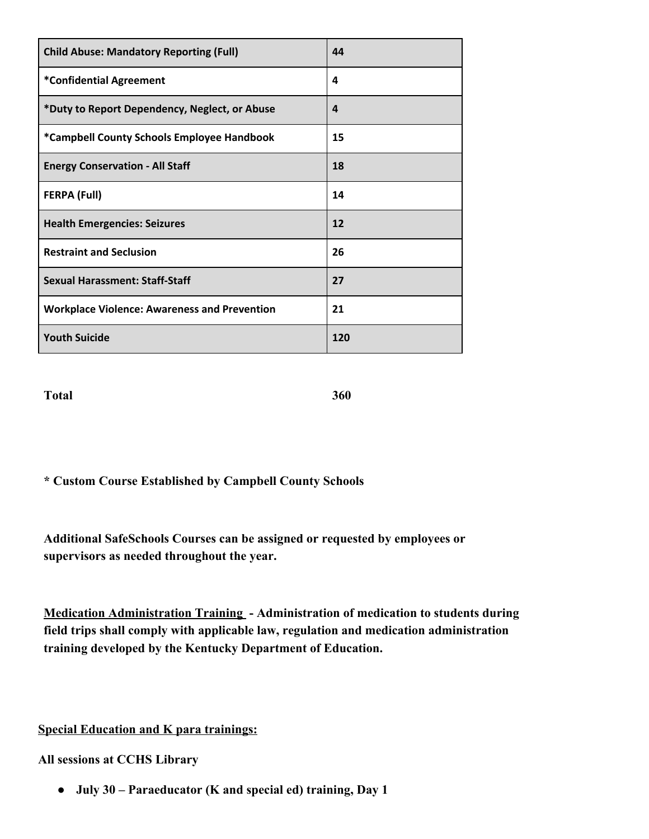| <b>Child Abuse: Mandatory Reporting (Full)</b>      | 44  |
|-----------------------------------------------------|-----|
| *Confidential Agreement                             | 4   |
| *Duty to Report Dependency, Neglect, or Abuse       | 4   |
| *Campbell County Schools Employee Handbook          | 15  |
| <b>Energy Conservation - All Staff</b>              | 18  |
| <b>FERPA (Full)</b>                                 | 14  |
| <b>Health Emergencies: Seizures</b>                 | 12  |
| <b>Restraint and Seclusion</b>                      | 26  |
| <b>Sexual Harassment: Staff-Staff</b>               | 27  |
| <b>Workplace Violence: Awareness and Prevention</b> | 21  |
| <b>Youth Suicide</b>                                | 120 |

**Total 360**

**\* Custom Course Established by Campbell County Schools**

**Additional SafeSchools Courses can be assigned or requested by employees or supervisors as needed throughout the year.**

**Medication Administration Training - Administration of medication to students during field trips shall comply with applicable law, regulation and medication administration training developed by the Kentucky Department of Education.**

**Special Education and K para trainings:**

**All sessions at CCHS Library**

**● July 30 – Paraeducator (K and special ed) training, Day 1**